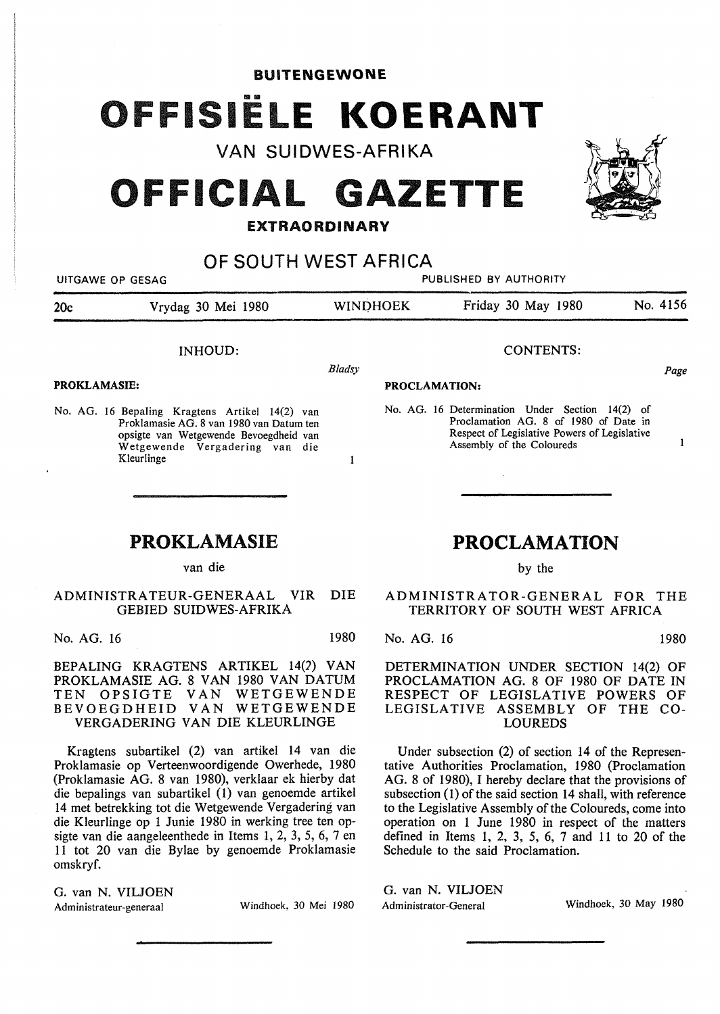## BUITENGEWONE

# FISIËLE KOERANT

VAN SUIDWES-AFRIKA

# **OFFICIAL GAZETTE**

## **EXTRAORDINARY**

OF SOUTH WEST AFRICA

| UITGAWE OP GESAG    |                                                                                                                                                                                      | PUBLISHED BY AUTHORITY |                                                                                                                                                                       |          |
|---------------------|--------------------------------------------------------------------------------------------------------------------------------------------------------------------------------------|------------------------|-----------------------------------------------------------------------------------------------------------------------------------------------------------------------|----------|
| 20c                 | Vrydag 30 Mei 1980                                                                                                                                                                   | <b>WINDHOEK</b>        | Friday 30 May 1980                                                                                                                                                    | No. 4156 |
|                     | <b>INHOUD:</b>                                                                                                                                                                       |                        | <b>CONTENTS:</b>                                                                                                                                                      |          |
|                     |                                                                                                                                                                                      | Bladsy                 |                                                                                                                                                                       | Page     |
| <b>PROKLAMASIE:</b> |                                                                                                                                                                                      | <b>PROCLAMATION:</b>   |                                                                                                                                                                       |          |
|                     | No. AG. 16 Bepaling Kragtens Artikel 14(2) van<br>Proklamasie AG, 8 van 1980 van Datum ten<br>opsigte van Wetgewende Bevoegdheid van<br>Wetgewende Vergadering van die<br>Kleurlinge |                        | No. AG. 16 Determination Under Section 14(2) of<br>Proclamation AG, 8 of 1980 of Date in<br>Respect of Legislative Powers of Legislative<br>Assembly of the Coloureds |          |

# **PROKLAMASIE**

van die

## ADMINISTRATEUR-GENERAAL VIR DIE GEBIED SUIDWES-AFRIKA

No. AG. 16 1980

BEPALING KRAGTENS ARTIKEL 14(2) VAN PROKLAMASIE AG. 8 VAN 1980 VAN DATUM TEN OPSIGTE VAN WETGEWENDE BEVOEGDHEID VAN WETGEWENDE VERGADERING VAN DIE KLEURLINGE

Kragtens subartikel (2) van artikel 14 van die Proklamasie op Verteenwoordigende Owerhede, 1980 (Proklamasie AG. 8 van 1980), verklaar ek hierby dat die bepalings van subartikel (1) van genoemde artikel 14 met betrekking tot die Wetgewende Vergadering van die Kleurlinge op 1 Junie 1980 in werking tree ten opsigte van die aangeleenthede in Items 1, 2, 3, 5, 6, 7 en 11 tot 20 van die Bylae by genoemde Proklamasie omskryf.

G. van N. VILJOEN Administrateur-generaal Windhoek. 30 Mei 1980

# **PROCLAMATION**

by the

## ADMINISTRATOR-GENERAL FOR THE TERRITORY OF SOUTH WEST AFRICA

No. AG. 16 1980

DETERMINATION UNDER SECTION 14(2) OF PROCLAMATION AG. 8 OF 1980 OF DATE IN RESPECT OF LEGISLATIVE POWERS OF LEGISLATIVE ASSEMBLY OF THE CO-LOUREDS

Under subsection (2) of section 14 of the Representative Authorities Proclamation, 1980 (Proclamation AG. 8 of 1980), I hereby declare that the provisions of subsection (1) of the said section 14 shall, with reference to the Legislative Assembly of the Coloureds, come into operation on 1 June 1980 in respect of the matters defined in Items 1, 2, 3, 5, 6, 7 and 11 to 20 of the Schedule to the said Proclamation.

G. van N. VILJOEN Administrator-General Windhoek, 30 May 1980